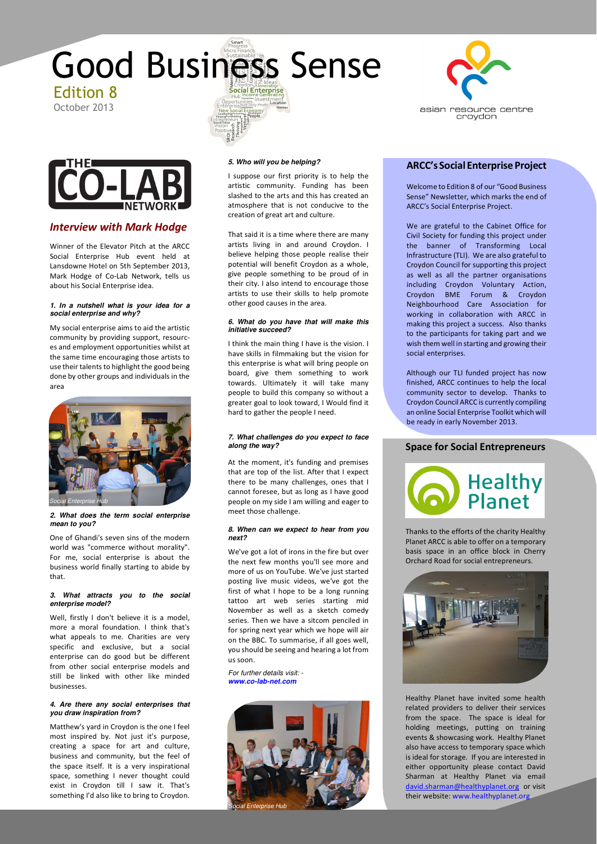



## *Interview with Mark Hodge*

Winner of the Elevator Pitch at the ARCC Social Enterprise Hub event held at Lansdowne Hotel on 5th September 2013, Mark Hodge of Co-Lab Network, tells us about his Social Enterprise idea.

#### **1. In a nutshell what is your idea for a social enterprise and why?**

My social enterprise aims to aid the artistic community by providing support, resources and employment opportunities whilst at the same time encouraging those artists to use their talents to highlight the good being done by other groups and individuals in the area



#### **2. What does the term social enterprise mean to you?**

One of Ghandi's seven sins of the modern world was "commerce without morality". For me, social enterprise is about the business world finally starting to abide by that.

#### **3. What attracts you to the social enterprise model?**

Well, firstly I don't believe it is a model, more a moral foundation. I think that's what appeals to me. Charities are very specific and exclusive, but a social enterprise can do good but be different from other social enterprise models and still be linked with other like minded businesses.

### **4. Are there any social enterprises that you draw inspiration from?**

Matthew's yard in Croydon is the one I feel most inspired by. Not just it's purpose, creating a space for art and culture, business and community, but the feel of the space itself. It is a very inspirational space, something I never thought could exist in Croydon till I saw it. That's something I'd also like to bring to Croydon.

#### **5. Who will you be helping?**

I suppose our first priority is to help the artistic community. Funding has been slashed to the arts and this has created an atmosphere that is not conducive to the creation of great art and culture.

That said it is a time where there are many artists living in and around Croydon. I believe helping those people realise their potential will benefit Croydon as a whole, give people something to be proud of in their city. I also intend to encourage those artists to use their skills to help promote other good causes in the area.

#### **6. What do you have that will make this initiative succeed?**

I think the main thing I have is the vision. I have skills in filmmaking but the vision for this enterprise is what will bring people on board, give them something to work towards. Ultimately it will take many people to build this company so without a greater goal to look toward, I Would find it hard to gather the people I need.

### **7. What challenges do you expect to face along the way?**

At the moment, it's funding and premises that are top of the list. After that I expect there to be many challenges, ones that I cannot foresee, but as long as I have good people on my side I am willing and eager to meet those challenge.

#### **8. When can we expect to hear from you next?**

We've got a lot of irons in the fire but over the next few months you'll see more and more of us on YouTube. We've just started posting live music videos, we've got the first of what I hope to be a long running tattoo art web series starting mid November as well as a sketch comedy series. Then we have a sitcom penciled in for spring next year which we hope will air on the BBC. To summarise, if all goes well, you should be seeing and hearing a lot from us soon.

For further details visit: **www.co-lab-net.com**





## **ARCC's Social Enterprise Project**

Welcome to Edition 8 of our "Good Business Sense" Newsletter, which marks the end of ARCC's Social Enterprise Project.

We are grateful to the Cabinet Office for Civil Society for funding this project under the banner of Transforming Local Infrastructure (TLI). We are also grateful to Croydon Council for supporting this project as well as all the partner organisations including Croydon Voluntary Action, Croydon BME Forum & Croydon Neighbourhood Care Association for working in collaboration with ARCC in making this project a success. Also thanks to the participants for taking part and we wish them well in starting and growing their social enterprises.

Although our TLI funded project has now finished, ARCC continues to help the local community sector to develop. Thanks to Croydon Council ARCC is currently compiling an online Social Enterprise Toolkit which will be ready in early November 2013.

## **Space for Social Entrepreneurs**



Thanks to the efforts of the charity Healthy Planet ARCC is able to offer on a temporary basis space in an office block in Cherry Orchard Road for social entrepreneurs.



Healthy Planet have invited some health related providers to deliver their services from the space. The space is ideal for holding meetings, putting on training events & showcasing work. Healthy Planet also have access to temporary space which is ideal for storage. If you are interested in either opportunity please contact David Sharman at Healthy Planet via email david.sharman@healthyplanet.org or visit their website: www.healthyplanet.org